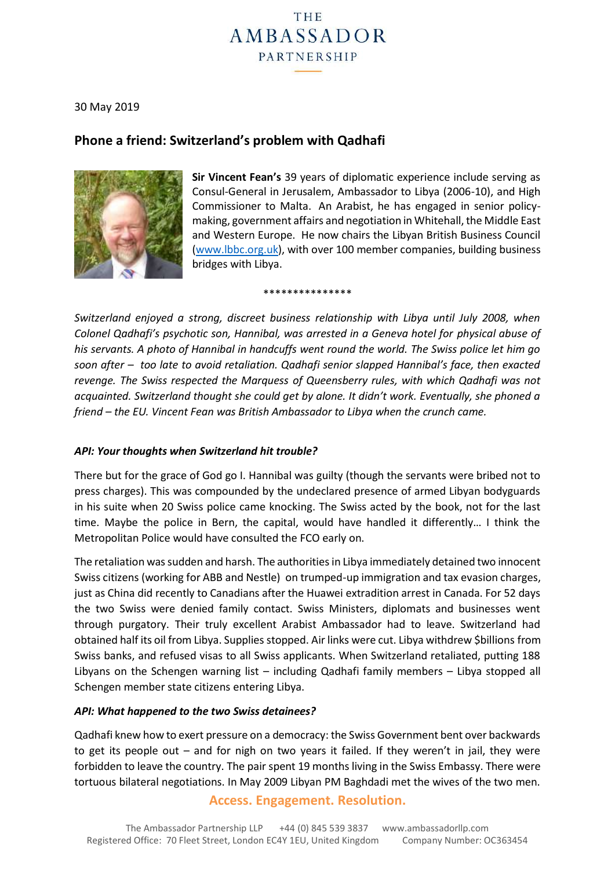# THE **AMBASSADOR** PARTNERSHIP

30 May 2019

## **Phone a friend: Switzerland's problem with Qadhafi**



**Sir Vincent Fean's** 39 years of diplomatic experience include serving as Consul-General in Jerusalem, Ambassador to Libya (2006-10), and High Commissioner to Malta. An Arabist, he has engaged in senior policymaking, government affairs and negotiation in Whitehall, the Middle East and Western Europe. He now chairs the Libyan British Business Council [\(www.lbbc.org.uk\)](http://www.lbbc.org.uk/), with over 100 member companies, building business bridges with Libya.

\*\*\*\*\*\*\*\*\*\*\*\*\*\*\*

*Switzerland enjoyed a strong, discreet business relationship with Libya until July 2008, when Colonel Qadhafi's psychotic son, Hannibal, was arrested in a Geneva hotel for physical abuse of his servants. A photo of Hannibal in handcuffs went round the world. The Swiss police let him go soon after – too late to avoid retaliation. Qadhafi senior slapped Hannibal's face, then exacted revenge. The Swiss respected the Marquess of Queensberry rules, with which Qadhafi was not acquainted. Switzerland thought she could get by alone. It didn't work. Eventually, she phoned a friend – the EU. Vincent Fean was British Ambassador to Libya when the crunch came.*

#### *API: Your thoughts when Switzerland hit trouble?*

There but for the grace of God go I. Hannibal was guilty (though the servants were bribed not to press charges). This was compounded by the undeclared presence of armed Libyan bodyguards in his suite when 20 Swiss police came knocking. The Swiss acted by the book, not for the last time. Maybe the police in Bern, the capital, would have handled it differently… I think the Metropolitan Police would have consulted the FCO early on.

The retaliation was sudden and harsh. The authorities in Libya immediately detained two innocent Swiss citizens (working for ABB and Nestle) on trumped-up immigration and tax evasion charges, just as China did recently to Canadians after the Huawei extradition arrest in Canada. For 52 days the two Swiss were denied family contact. Swiss Ministers, diplomats and businesses went through purgatory. Their truly excellent Arabist Ambassador had to leave. Switzerland had obtained half its oil from Libya. Supplies stopped. Air links were cut. Libya withdrew \$billions from Swiss banks, and refused visas to all Swiss applicants. When Switzerland retaliated, putting 188 Libyans on the Schengen warning list – including Qadhafi family members – Libya stopped all Schengen member state citizens entering Libya.

#### *API: What happened to the two Swiss detainees?*

Qadhafi knew how to exert pressure on a democracy: the Swiss Government bent over backwards to get its people out – and for nigh on two years it failed. If they weren't in jail, they were forbidden to leave the country. The pair spent 19 months living in the Swiss Embassy. There were tortuous bilateral negotiations. In May 2009 Libyan PM Baghdadi met the wives of the two men.

#### **Access. Engagement. Resolution.**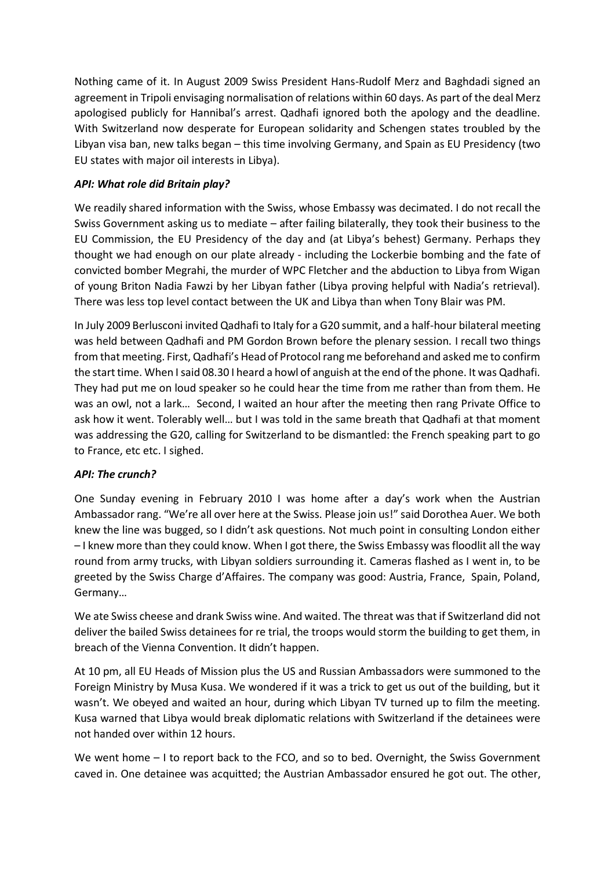Nothing came of it. In August 2009 Swiss President Hans-Rudolf Merz and Baghdadi signed an agreement in Tripoli envisaging normalisation of relations within 60 days. As part of the deal Merz apologised publicly for Hannibal's arrest. Qadhafi ignored both the apology and the deadline. With Switzerland now desperate for European solidarity and Schengen states troubled by the Libyan visa ban, new talks began – this time involving Germany, and Spain as EU Presidency (two EU states with major oil interests in Libya).

### *API: What role did Britain play?*

We readily shared information with the Swiss, whose Embassy was decimated. I do not recall the Swiss Government asking us to mediate – after failing bilaterally, they took their business to the EU Commission, the EU Presidency of the day and (at Libya's behest) Germany. Perhaps they thought we had enough on our plate already - including the Lockerbie bombing and the fate of convicted bomber Megrahi, the murder of WPC Fletcher and the abduction to Libya from Wigan of young Briton Nadia Fawzi by her Libyan father (Libya proving helpful with Nadia's retrieval). There was less top level contact between the UK and Libya than when Tony Blair was PM.

In July 2009 Berlusconi invited Qadhafi to Italy for a G20 summit, and a half-hour bilateral meeting was held between Qadhafi and PM Gordon Brown before the plenary session. I recall two things from that meeting. First, Qadhafi's Head of Protocol rang me beforehand and asked me to confirm the start time. When I said 08.30 I heard a howl of anguish at the end of the phone. It was Qadhafi. They had put me on loud speaker so he could hear the time from me rather than from them. He was an owl, not a lark… Second, I waited an hour after the meeting then rang Private Office to ask how it went. Tolerably well… but I was told in the same breath that Qadhafi at that moment was addressing the G20, calling for Switzerland to be dismantled: the French speaking part to go to France, etc etc. I sighed.

#### *API: The crunch?*

One Sunday evening in February 2010 I was home after a day's work when the Austrian Ambassador rang. "We're all over here at the Swiss. Please join us!" said Dorothea Auer. We both knew the line was bugged, so I didn't ask questions. Not much point in consulting London either – I knew more than they could know. When I got there, the Swiss Embassy was floodlit all the way round from army trucks, with Libyan soldiers surrounding it. Cameras flashed as I went in, to be greeted by the Swiss Charge d'Affaires. The company was good: Austria, France, Spain, Poland, Germany…

We ate Swiss cheese and drank Swiss wine. And waited. The threat was that if Switzerland did not deliver the bailed Swiss detainees for re trial, the troops would storm the building to get them, in breach of the Vienna Convention. It didn't happen.

At 10 pm, all EU Heads of Mission plus the US and Russian Ambassadors were summoned to the Foreign Ministry by Musa Kusa. We wondered if it was a trick to get us out of the building, but it wasn't. We obeyed and waited an hour, during which Libyan TV turned up to film the meeting. Kusa warned that Libya would break diplomatic relations with Switzerland if the detainees were not handed over within 12 hours.

We went home – I to report back to the FCO, and so to bed. Overnight, the Swiss Government caved in. One detainee was acquitted; the Austrian Ambassador ensured he got out. The other,